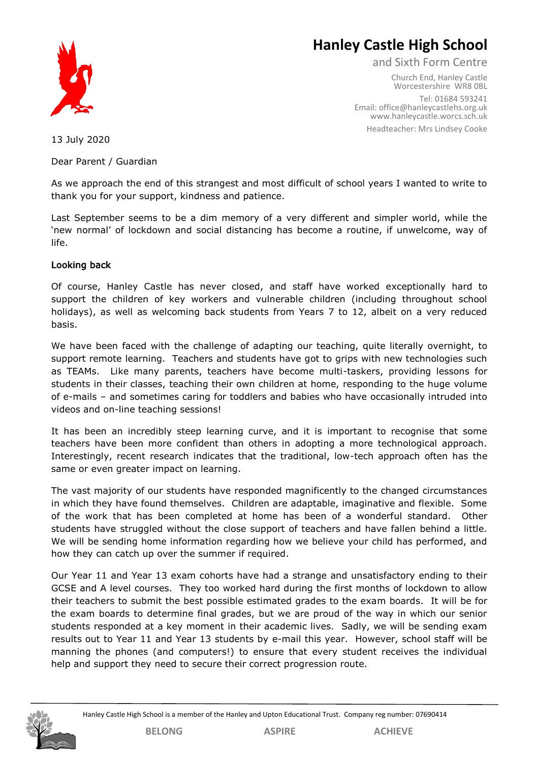

# **Hanley Castle High School**

and Sixth Form Centre

Church End, Hanley Castle Worcestershire WR8 0BL Tel: 01684 593241 Email[: office@hanleycastleh](mailto:office@hanleycastle.worcs.sch.uk)s.org.uk [www.hanleycastle.worcs.sch.uk](http://www.hanleycastle.worcs.sch.uk/) Headteacher: Mrs Lindsey Cooke

13 July 2020

Dear Parent / Guardian

As we approach the end of this strangest and most difficult of school years I wanted to write to thank you for your support, kindness and patience.

Last September seems to be a dim memory of a very different and simpler world, while the 'new normal' of lockdown and social distancing has become a routine, if unwelcome, way of life.

# Looking back

Of course, Hanley Castle has never closed, and staff have worked exceptionally hard to support the children of key workers and vulnerable children (including throughout school holidays), as well as welcoming back students from Years 7 to 12, albeit on a very reduced basis.

We have been faced with the challenge of adapting our teaching, quite literally overnight, to support remote learning. Teachers and students have got to grips with new technologies such as TEAMs. Like many parents, teachers have become multi-taskers, providing lessons for students in their classes, teaching their own children at home, responding to the huge volume of e-mails – and sometimes caring for toddlers and babies who have occasionally intruded into videos and on-line teaching sessions!

It has been an incredibly steep learning curve, and it is important to recognise that some teachers have been more confident than others in adopting a more technological approach. Interestingly, recent research indicates that the traditional, low-tech approach often has the same or even greater impact on learning.

The vast majority of our students have responded magnificently to the changed circumstances in which they have found themselves. Children are adaptable, imaginative and flexible. Some of the work that has been completed at home has been of a wonderful standard. Other students have struggled without the close support of teachers and have fallen behind a little. We will be sending home information regarding how we believe your child has performed, and how they can catch up over the summer if required.

Our Year 11 and Year 13 exam cohorts have had a strange and unsatisfactory ending to their GCSE and A level courses. They too worked hard during the first months of lockdown to allow their teachers to submit the best possible estimated grades to the exam boards. It will be for the exam boards to determine final grades, but we are proud of the way in which our senior students responded at a key moment in their academic lives. Sadly, we will be sending exam results out to Year 11 and Year 13 students by e-mail this year. However, school staff will be manning the phones (and computers!) to ensure that every student receives the individual help and support they need to secure their correct progression route.

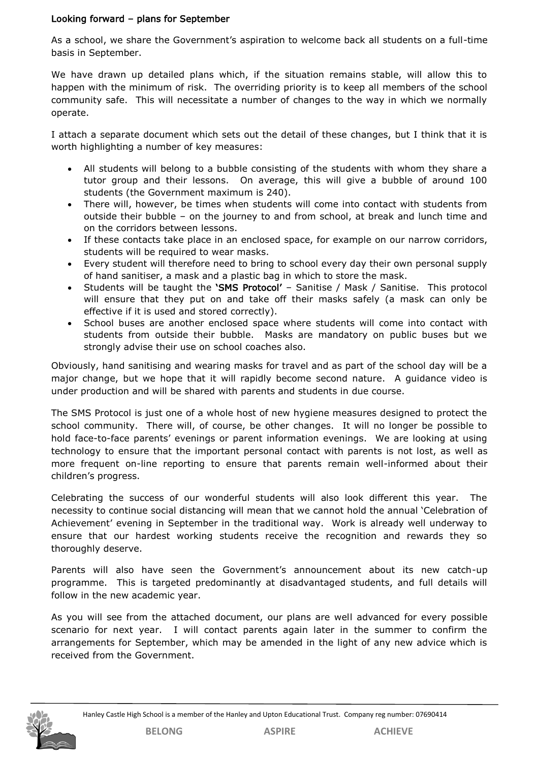# Looking forward – plans for September

As a school, we share the Government's aspiration to welcome back all students on a full-time basis in September.

We have drawn up detailed plans which, if the situation remains stable, will allow this to happen with the minimum of risk. The overriding priority is to keep all members of the school community safe. This will necessitate a number of changes to the way in which we normally operate.

I attach a separate document which sets out the detail of these changes, but I think that it is worth highlighting a number of key measures:

- All students will belong to a bubble consisting of the students with whom they share a tutor group and their lessons. On average, this will give a bubble of around 100 students (the Government maximum is 240).
- There will, however, be times when students will come into contact with students from outside their bubble – on the journey to and from school, at break and lunch time and on the corridors between lessons.
- If these contacts take place in an enclosed space, for example on our narrow corridors, students will be required to wear masks.
- Every student will therefore need to bring to school every day their own personal supply of hand sanitiser, a mask and a plastic bag in which to store the mask.
- Students will be taught the 'SMS Protocol' Sanitise / Mask / Sanitise. This protocol will ensure that they put on and take off their masks safely (a mask can only be effective if it is used and stored correctly).
- School buses are another enclosed space where students will come into contact with students from outside their bubble. Masks are mandatory on public buses but we strongly advise their use on school coaches also.

Obviously, hand sanitising and wearing masks for travel and as part of the school day will be a major change, but we hope that it will rapidly become second nature. A guidance video is under production and will be shared with parents and students in due course.

The SMS Protocol is just one of a whole host of new hygiene measures designed to protect the school community. There will, of course, be other changes. It will no longer be possible to hold face-to-face parents' evenings or parent information evenings. We are looking at using technology to ensure that the important personal contact with parents is not lost, as well as more frequent on-line reporting to ensure that parents remain well-informed about their children's progress.

Celebrating the success of our wonderful students will also look different this year. The necessity to continue social distancing will mean that we cannot hold the annual 'Celebration of Achievement' evening in September in the traditional way. Work is already well underway to ensure that our hardest working students receive the recognition and rewards they so thoroughly deserve.

Parents will also have seen the Government's announcement about its new catch-up programme. This is targeted predominantly at disadvantaged students, and full details will follow in the new academic year.

As you will see from the attached document, our plans are well advanced for every possible scenario for next year. I will contact parents again later in the summer to confirm the arrangements for September, which may be amended in the light of any new advice which is received from the Government.

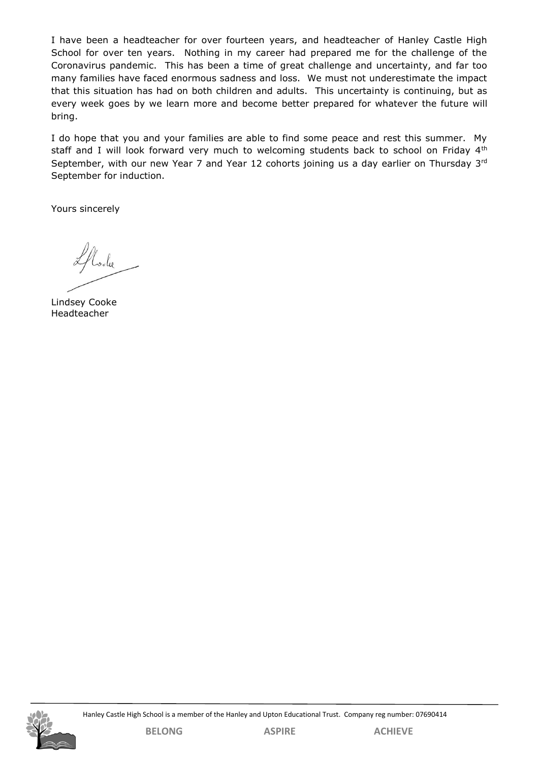I have been a headteacher for over fourteen years, and headteacher of Hanley Castle High School for over ten years. Nothing in my career had prepared me for the challenge of the Coronavirus pandemic. This has been a time of great challenge and uncertainty, and far too many families have faced enormous sadness and loss. We must not underestimate the impact that this situation has had on both children and adults. This uncertainty is continuing, but as every week goes by we learn more and become better prepared for whatever the future will bring.

I do hope that you and your families are able to find some peace and rest this summer. My staff and I will look forward very much to welcoming students back to school on Friday 4<sup>th</sup> September, with our new Year 7 and Year 12 cohorts joining us a day earlier on Thursday 3rd September for induction.

Yours sincerely

Lindsey Cooke Headteacher

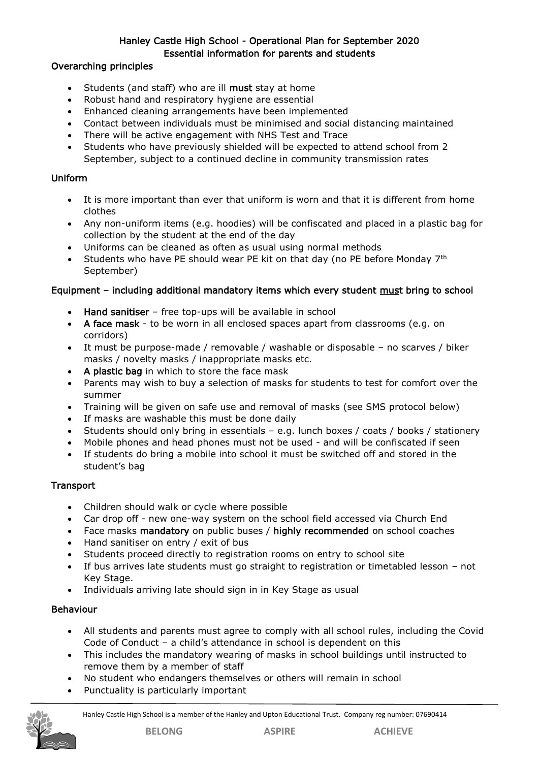# Hanley Castle High School - Operational Plan for September 2020 Essential information for parents and students

# Overarching principles

- Students (and staff) who are ill must stay at home
- Robust hand and respiratory hygiene are essential
- Enhanced cleaning arrangements have been implemented
- Contact between individuals must be minimised and social distancing maintained
- There will be active engagement with NHS Test and Trace
- Students who have previously shielded will be expected to attend school from 2 September, subject to a continued decline in community transmission rates

# Uniform

- It is more important than ever that uniform is worn and that it is different from home clothes
- Any non-uniform items (e.g. hoodies) will be confiscated and placed in a plastic bag for collection by the student at the end of the day
- Uniforms can be cleaned as often as usual using normal methods
- Students who have PE should wear PE kit on that day (no PE before Monday  $7<sup>th</sup>$ September)

# Equipment – including additional mandatory items which every student must bring to school

- Hand sanitiser free top-ups will be available in school
- A face mask to be worn in all enclosed spaces apart from classrooms (e.g. on corridors)
- It must be purpose-made / removable / washable or disposable no scarves / biker masks / novelty masks / inappropriate masks etc.
- A plastic bag in which to store the face mask
- Parents may wish to buy a selection of masks for students to test for comfort over the summer
- Training will be given on safe use and removal of masks (see SMS protocol below)
- If masks are washable this must be done daily
- Students should only bring in essentials e.g. lunch boxes / coats / books / stationery
- Mobile phones and head phones must not be used and will be confiscated if seen
- If students do bring a mobile into school it must be switched off and stored in the student's bag

# **Transport**

- Children should walk or cycle where possible
- Car drop off new one-way system on the school field accessed via Church End
- Face masks mandatory on public buses / highly recommended on school coaches
- Hand sanitiser on entry / exit of bus
- Students proceed directly to registration rooms on entry to school site
- If bus arrives late students must go straight to registration or timetabled lesson not Key Stage.
- Individuals arriving late should sign in in Key Stage as usual

#### Behaviour

- All students and parents must agree to comply with all school rules, including the Covid Code of Conduct – a child's attendance in school is dependent on this
- This includes the mandatory wearing of masks in school buildings until instructed to remove them by a member of staff
- No student who endangers themselves or others will remain in school
- Punctuality is particularly important

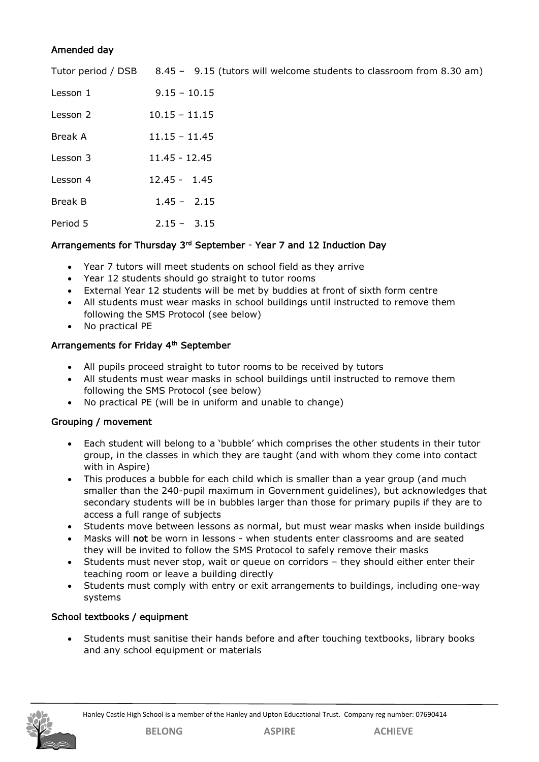# Amended day

|                | Tutor period / DSB 8.45 - 9.15 (tutors will welcome students to classroom from 8.30 am) |
|----------------|-----------------------------------------------------------------------------------------|
| Lesson 1       | $9.15 - 10.15$                                                                          |
| Lesson 2       | $10.15 - 11.15$                                                                         |
| Break A        | $11.15 - 11.45$                                                                         |
| Lesson 3       | $11.45 - 12.45$                                                                         |
| Lesson 4       | $12.45 - 1.45$                                                                          |
| <b>Break B</b> | $1.45 - 2.15$                                                                           |
| Period 5       | $2.15 - 3.15$                                                                           |

# Arrangements for Thursday 3<sup>rd</sup> September - Year 7 and 12 Induction Day

- Year 7 tutors will meet students on school field as they arrive
- Year 12 students should go straight to tutor rooms
- External Year 12 students will be met by buddies at front of sixth form centre
- All students must wear masks in school buildings until instructed to remove them following the SMS Protocol (see below)
- No practical PE

# Arrangements for Friday 4<sup>th</sup> September

- All pupils proceed straight to tutor rooms to be received by tutors
- All students must wear masks in school buildings until instructed to remove them following the SMS Protocol (see below)
- No practical PE (will be in uniform and unable to change)

# Grouping / movement

- Each student will belong to a 'bubble' which comprises the other students in their tutor group, in the classes in which they are taught (and with whom they come into contact with in Aspire)
- This produces a bubble for each child which is smaller than a year group (and much smaller than the 240-pupil maximum in Government guidelines), but acknowledges that secondary students will be in bubbles larger than those for primary pupils if they are to access a full range of subjects
- Students move between lessons as normal, but must wear masks when inside buildings
- Masks will not be worn in lessons when students enter classrooms and are seated they will be invited to follow the SMS Protocol to safely remove their masks
- Students must never stop, wait or queue on corridors they should either enter their teaching room or leave a building directly
- Students must comply with entry or exit arrangements to buildings, including one-way systems

# School textbooks / equipment

• Students must sanitise their hands before and after touching textbooks, library books and any school equipment or materials

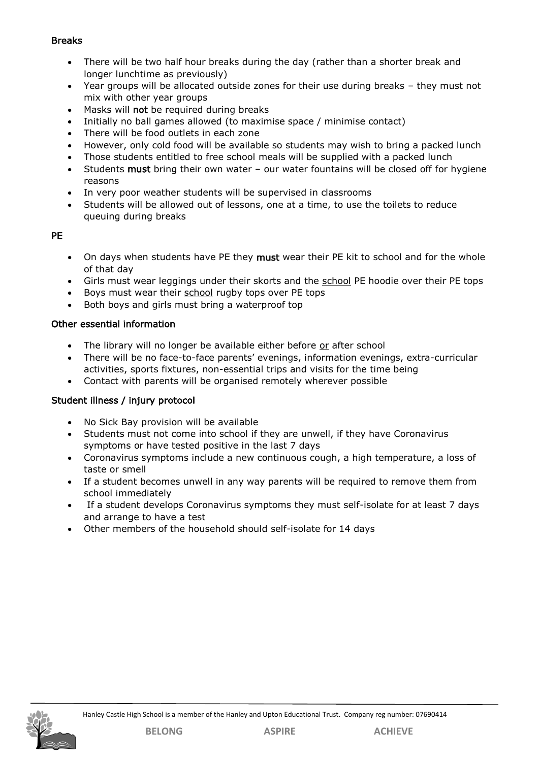# Breaks

- There will be two half hour breaks during the day (rather than a shorter break and longer lunchtime as previously)
- Year groups will be allocated outside zones for their use during breaks they must not mix with other year groups
- Masks will not be required during breaks
- Initially no ball games allowed (to maximise space / minimise contact)
- There will be food outlets in each zone
- However, only cold food will be available so students may wish to bring a packed lunch
- Those students entitled to free school meals will be supplied with a packed lunch
- Students must bring their own water our water fountains will be closed off for hygiene reasons
- In very poor weather students will be supervised in classrooms
- Students will be allowed out of lessons, one at a time, to use the toilets to reduce queuing during breaks

# PE

- On days when students have PE they must wear their PE kit to school and for the whole of that day
- Girls must wear leggings under their skorts and the school PE hoodie over their PE tops
- Boys must wear their school rugby tops over PE tops
- Both boys and girls must bring a waterproof top

# Other essential information

- The library will no longer be available either before or after school
- There will be no face-to-face parents' evenings, information evenings, extra-curricular activities, sports fixtures, non-essential trips and visits for the time being
- Contact with parents will be organised remotely wherever possible

# Student illness / injury protocol

- No Sick Bay provision will be available
- Students must not come into school if they are unwell, if they have Coronavirus symptoms or have tested positive in the last 7 days
- Coronavirus symptoms include a new continuous cough, a high temperature, a loss of taste or smell
- If a student becomes unwell in any way parents will be required to remove them from school immediately
- If a student develops Coronavirus symptoms they must self-isolate for at least 7 days and arrange to have a test
- Other members of the household should self-isolate for 14 days